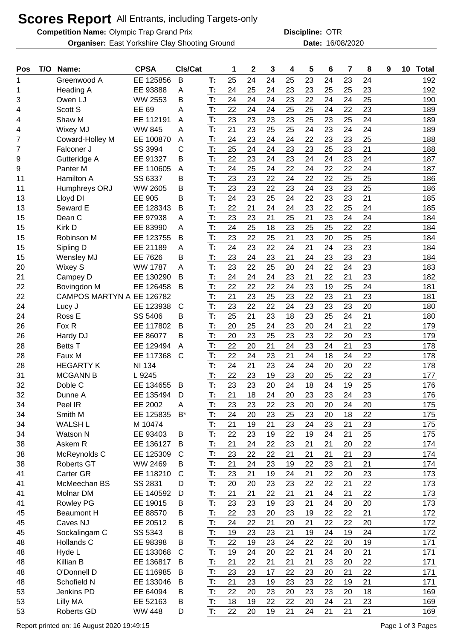## **Scores Report** All Entrants, including Targets-only

**Competition Name:** Olympic Trap Grand Prix **Competition Name: OTR** 

**Organiser:** East Yorkshire Clay Shooting Ground **16/08/2020** Date: 16/08/2020

**Discipline:**

| Pos | T/O | Name:                     | <b>CPSA</b>    | Cls/Cat      |    | 1  | $\mathbf 2$ | 3  | 4  | 5  | 6  | 7  | 8  | 9 | 10 | <b>Total</b> |
|-----|-----|---------------------------|----------------|--------------|----|----|-------------|----|----|----|----|----|----|---|----|--------------|
| 1   |     | Greenwood A               | EE 125856      | B            | T: | 25 | 24          | 24 | 25 | 23 | 24 | 23 | 24 |   |    | 192          |
| 1   |     | <b>Heading A</b>          | EE 93888       | A            | T: | 24 | 25          | 24 | 23 | 23 | 25 | 25 | 23 |   |    | 192          |
| 3   |     | Owen LJ                   | WW 2553        | B            | T: | 24 | 24          | 24 | 23 | 22 | 24 | 24 | 25 |   |    | 190          |
| 4   |     | Scott S                   | EE 69          | Α            | T: | 22 | 24          | 24 | 25 | 25 | 24 | 22 | 23 |   |    | 189          |
| 4   |     | Shaw M                    | EE 112191      | A            | T: | 23 | 23          | 23 | 23 | 25 | 23 | 25 | 24 |   |    | 189          |
| 4   |     | <b>Wixey MJ</b>           | <b>WW 845</b>  | A            | T: | 21 | 23          | 25 | 25 | 24 | 23 | 24 | 24 |   |    | 189          |
| 7   |     | Coward-Holley M           | EE 100870      | A            | T: | 24 | 23          | 24 | 24 | 22 | 23 | 23 | 25 |   |    | 188          |
| 7   |     | Falconer J                | SS 3994        | С            | T: | 25 | 24          | 24 | 23 | 23 | 25 | 23 | 21 |   |    | 188          |
| 9   |     | Gutteridge A              | EE 91327       | В            | T: | 22 | 23          | 24 | 23 | 24 | 24 | 23 | 24 |   |    | 187          |
| 9   |     | Panter M                  | EE 110605      | A            | T: | 24 | 25          | 24 | 22 | 24 | 22 | 22 | 24 |   |    | 187          |
| 11  |     | Hamilton A                | SS 6337        | B            | T: | 23 | 23          | 22 | 24 | 22 | 22 | 25 | 25 |   |    | 186          |
| 11  |     | Humphreys ORJ             | <b>WW 2605</b> | Β            | T: | 23 | 23          | 22 | 23 | 24 | 23 | 23 | 25 |   |    | 186          |
| 13  |     | Lloyd DI                  | <b>EE 905</b>  | Β            | T: | 24 | 23          | 25 | 24 | 22 | 23 | 23 | 21 |   |    | 185          |
| 13  |     | Seward E                  | EE 128343      | B            | T: | 22 | 21          | 24 | 24 | 23 | 22 | 25 | 24 |   |    | 185          |
| 15  |     | Dean C                    | EE 97938       | A            | T: | 23 | 23          | 21 | 25 | 21 | 23 | 24 | 24 |   |    | 184          |
| 15  |     | Kirk D                    | EE 83990       | Α            | T: | 24 | 25          | 18 | 23 | 25 | 25 | 22 | 22 |   |    | 184          |
| 15  |     | Robinson M                | EE 123755      | B            | T: | 23 | 22          | 25 | 21 | 23 | 20 | 25 | 25 |   |    | 184          |
| 15  |     | Sipling D                 | EE 21189       | Α            | T: | 24 | 23          | 22 | 24 | 21 | 24 | 23 | 23 |   |    | 184          |
| 15  |     | Wensley MJ                | EE 7626        | Β            | T: | 23 | 24          | 23 | 21 | 24 | 23 | 23 | 23 |   |    | 184          |
| 20  |     | Wixey S                   | <b>WW 1787</b> | A            | T: | 23 | 22          | 25 | 20 | 24 | 22 | 24 | 23 |   |    | 183          |
| 21  |     | Campey D                  | EE 130290      | B            | T: | 24 | 24          | 24 | 23 | 21 | 22 | 21 | 23 |   |    | 182          |
| 22  |     | Bovingdon M               | EE 126458      | B            | T: | 22 | 22          | 22 | 24 | 23 | 19 | 25 | 24 |   |    | 181          |
| 22  |     | CAMPOS MARTYN A EE 126782 |                |              | T: | 21 | 23          | 25 | 23 | 22 | 23 | 21 | 23 |   |    | 181          |
| 24  |     | Lucy J                    | EE 123938      | $\mathsf{C}$ | T: | 23 | 22          | 22 | 24 | 23 | 23 | 23 | 20 |   |    | 180          |
| 24  |     | Ross E                    | SS 5406        | B            | T: | 25 | 21          | 23 | 18 | 23 | 25 | 24 | 21 |   |    | 180          |
| 26  |     | Fox R                     | EE 117802      | B            | T: | 20 | 25          | 24 | 23 | 20 | 24 | 21 | 22 |   |    | 179          |
| 26  |     | Hardy DJ                  | EE 86077       | B            | T: | 20 | 23          | 25 | 23 | 23 | 22 | 20 | 23 |   |    | 179          |
| 28  |     | <b>Betts T</b>            | EE 129494      | A            | T: | 22 | 20          | 21 | 24 | 23 | 24 | 21 | 23 |   |    | 178          |
| 28  |     | Faux M                    | EE 117368      | $\mathsf{C}$ | T: | 22 | 24          | 23 | 21 | 24 | 18 | 24 | 22 |   |    | 178          |
| 28  |     | <b>HEGARTY K</b>          | <b>NI 134</b>  |              | T: | 24 | 21          | 23 | 24 | 24 | 20 | 20 | 22 |   |    | 178          |
| 31  |     | <b>MCGANN B</b>           | L 9245         |              | T: | 22 | 23          | 19 | 23 | 20 | 25 | 22 | 23 |   |    | 177          |
| 32  |     | Doble C                   | EE 134655      | B            | T: | 23 | 23          | 20 | 24 | 18 | 24 | 19 | 25 |   |    | 176          |
| 32  |     | Dunne A                   | EE 135494      | D            | T: | 21 | 18          | 24 | 20 | 23 | 23 | 24 | 23 |   |    | 176          |
| 34  |     | Peel IR                   | EE 2002        | A            | Т: | 23 | 23          | 22 | 23 | 20 | 20 | 24 | 20 |   |    | 175          |
| 34  |     | Smith M                   | EE 125835      | $B^*$        | T. | 24 | 20          | 23 | 25 | 23 | 20 | 18 | 22 |   |    | 175          |
| 34  |     | <b>WALSH L</b>            | M 10474        |              | T: | 21 | 19          | 21 | 23 | 24 | 23 | 21 | 23 |   |    | 175          |
| 34  |     | Watson N                  | EE 93403       | B            | T: | 22 | 23          | 19 | 22 | 19 | 24 | 21 | 25 |   |    | 175          |
| 38  |     | Askem R                   | EE 136127      | B            | T: | 21 | 24          | 22 | 23 | 21 | 21 | 20 | 22 |   |    | 174          |
| 38  |     | McReynolds C              | EE 125309      | $\mathsf{C}$ | T: | 23 | 22          | 22 | 21 | 21 | 21 | 21 | 23 |   |    | 174          |
| 38  |     | <b>Roberts GT</b>         | WW 2469        | B            | T: | 21 | 24          | 23 | 19 | 22 | 23 | 21 | 21 |   |    | 174          |
| 41  |     | Carter GR                 | EE 118210      | $\mathsf{C}$ | T: | 23 | 21          | 19 | 24 | 21 | 22 | 20 | 23 |   |    | 173          |
| 41  |     | McMeechan BS              | SS 2831        | D            | T: | 20 | 20          | 23 | 23 | 22 | 22 | 21 | 22 |   |    | 173          |
| 41  |     | Molnar DM                 | EE 140592      | D            | T: | 21 | 21          | 22 | 21 | 21 | 24 | 21 | 22 |   |    | 173          |
| 41  |     | <b>Rowley PG</b>          | EE 19015       | B            | T: | 23 | 23          | 19 | 23 | 21 | 24 | 20 | 20 |   |    | 173          |
| 45  |     | <b>Beaumont H</b>         | EE 88570       | B            | T: | 22 | 23          | 20 | 23 | 19 | 22 | 22 | 21 |   |    | 172          |
| 45  |     | Caves NJ                  | EE 20512       | B            | T: | 24 | 22          | 21 | 20 | 21 | 22 | 22 | 20 |   |    | 172          |
| 45  |     | Sockalingam C             | SS 5343        | B            | T: | 19 | 23          | 23 | 21 | 19 | 24 | 19 | 24 |   |    | 172          |
| 48  |     | Hollands C                | EE 98398       | B            | T: | 22 | 19          | 23 | 24 | 22 | 22 | 20 | 19 |   |    | 171          |
| 48  |     | Hyde L                    | EE 133068      | $\mathsf{C}$ | T: | 19 | 24          | 20 | 22 | 21 | 24 | 20 | 21 |   |    | 171          |
| 48  |     | Killian B                 | EE 136817      | B            | T: | 21 | 22          | 21 | 21 | 21 | 23 | 20 | 22 |   |    | 171          |
| 48  |     | O'Donnell D               | EE 116985      | B            | T: | 23 | 23          | 17 | 22 | 23 | 20 | 21 | 22 |   |    | 171          |
| 48  |     | Schofield N               | EE 133046      | B            | T: | 21 | 23          | 19 | 23 | 23 | 22 | 19 | 21 |   |    | 171          |
| 53  |     | Jenkins PD                | EE 64094       | B            | T: | 22 | 20          | 23 | 20 | 23 | 23 | 20 | 18 |   |    | 169          |
| 53  |     | Lilly MA                  | EE 52163       | B            | T: | 18 | 19          | 22 | 22 | 20 | 24 | 21 | 23 |   |    | 169          |
| 53  |     | Roberts GD                | <b>WW 448</b>  | D            | T: | 22 | 20          | 19 | 21 | 24 | 21 | 21 | 21 |   |    | 169          |
|     |     |                           |                |              |    |    |             |    |    |    |    |    |    |   |    |              |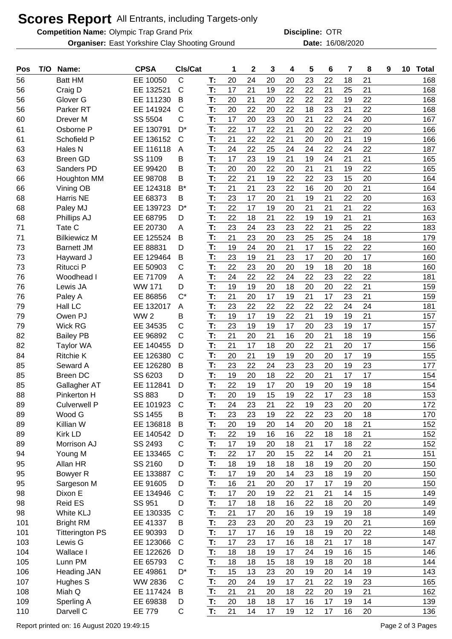## **Scores Report** All Entrants, including Targets-only

**Competition Name:** Olympic Trap Grand Prix **Competition Name: OTR** 

**Organiser:** East Yorkshire Clay Shooting Ground **16/08/2020** Date: 16/08/2020

**Discipline:**

| Pos        | T/O | Name:                             | <b>CPSA</b>           | CIs/Cat           |          | 1  | $\mathbf 2$ | 3        | 4        | 5        | 6        | 7        | 8        | 9 | 10 | <b>Total</b> |
|------------|-----|-----------------------------------|-----------------------|-------------------|----------|----|-------------|----------|----------|----------|----------|----------|----------|---|----|--------------|
| 56         |     | <b>Batt HM</b>                    | EE 10050              | $\mathsf C$       | T:       | 20 | 24          | 20       | 20       | 23       | 22       | 18       | 21       |   |    | 168          |
| 56         |     | Craig D                           | EE 132521             | $\mathsf C$       | T:       | 17 | 21          | 19       | 22       | 22       | 21       | 25       | 21       |   |    | 168          |
| 56         |     | Glover G                          | EE 111230             | B                 | T:       | 20 | 21          | 20       | 22       | 22       | 22       | 19       | 22       |   |    | 168          |
| 56         |     | Parker <sub>RT</sub>              | EE 141924             | $\mathsf{C}$      | T:       | 20 | 22          | 20       | 22       | 18       | 23       | 21       | 22       |   |    | 168          |
| 60         |     | Drever <sub>M</sub>               | SS 5504               | $\mathsf C$       | T:       | 17 | 20          | 23       | 20       | 21       | 22       | 24       | 20       |   |    | 167          |
| 61         |     | Osborne P                         | EE 130791             | D <sup>*</sup>    | T:       | 22 | 17          | 22       | 21       | 20       | 22       | 22       | 20       |   |    | 166          |
| 61         |     | Schofield P                       | EE 136152             | C                 | T:       | 21 | 22          | 22       | 21       | 20       | 20       | 21       | 19       |   |    | 166          |
| 63         |     | <b>Hales N</b>                    | EE 116118             | A                 | T:       | 24 | 22          | 25       | 24       | 24       | 22       | 24       | 22       |   |    | 187          |
| 63         |     | <b>Breen GD</b>                   | SS 1109               | В                 | T:       | 17 | 23          | 19       | 21       | 19       | 24       | 21       | 21       |   |    | 165          |
| 63         |     | Sanders PD                        | EE 99420              | B                 | T:       | 20 | 20          | 22       | 20       | 21       | 21       | 19       | 22       |   |    | 165          |
| 66         |     | Houghton MM                       | EE 98708              | В                 | T:       | 22 | 21          | 19       | 22       | 22       | 23       | 15       | 20       |   |    | 164          |
| 66         |     | Vining OB                         | EE 124318             | $B^*$             | T:       | 21 | 21          | 23       | 22       | 16       | 20       | 20       | 21       |   |    | 164          |
| 68         |     | Harris NE                         | EE 68373              | В                 | T:       | 23 | 17          | 20       | 21       | 19       | 21       | 22       | 20       |   |    | 163          |
| 68         |     | Paley MJ                          | EE 139723             | D*                | T:       | 22 | 17          | 19       | 20       | 21       | 21       | 21       | 22       |   |    | 163          |
| 68         |     | Phillips AJ                       | EE 68795              | D                 | T:       | 22 | 18          | 21       | 22       | 19       | 19       | 21       | 21       |   |    | 163          |
| 71         |     | Tate C                            | EE 20730              | A                 | T:       | 23 | 24          | 23       | 23       | 22       | 21       | 25       | 22       |   |    | 183          |
| 71         |     | <b>Bilkiewicz M</b>               | EE 125524             | B                 | T:       | 21 | 23          | 20       | 23       | 25       | 25       | 24       | 18       |   |    | 179          |
| 73         |     | <b>Barnett JM</b>                 | EE 88831              | D                 | T:       | 19 | 24          | 20       | 21       | 17       | 15       | 22       | 22       |   |    | 160          |
| 73         |     |                                   | EE 129464             | B                 | T:       | 23 | 19          | 21       | 23       | 17       | 20       | 20       | 17       |   |    | 160          |
| 73         |     | Hayward J<br>Ritucci P            | EE 50903              | $\mathsf C$       | T:       | 22 | 23          | 20       | 20       | 19       | 18       | 20       | 18       |   |    | 160          |
| 76         |     | Woodhead I                        | EE 71709              |                   | T:       | 24 | 22          | 22       | 24       | 22       | 23       | 22       | 22       |   |    | 181          |
| 76         |     | Lewis JA                          | <b>WW 171</b>         | A<br>D            | T:       | 19 | 19          | 20       | 18       | 20       | 20       | 22       | 21       |   |    | 159          |
| 76         |     | Paley A                           | EE 86856              | $C^*$             | T:       | 21 | 20          | 17       | 19       | 21       | 17       | 23       | 21       |   |    | 159          |
| 79         |     | Hall LC                           | EE 132017             | A                 | T:       | 23 | 22          | 22       | 22       | 22       | 22       | 24       | 24       |   |    | 181          |
| 79         |     | Owen PJ                           | WW <sub>2</sub>       |                   | T:       | 19 | 17          | 19       | 22       | 21       | 19       | 19       | 21       |   |    | 157          |
| 79         |     | <b>Wick RG</b>                    | EE 34535              | В<br>$\mathsf C$  | T:       | 23 | 19          | 19       | 17       | 20       | 23       | 19       | 17       |   |    | 157          |
| 82         |     | <b>Bailey PB</b>                  | EE 96892              | $\mathsf{C}$      | T:       | 21 | 20          | 21       | 16       | 20       | 21       | 18       | 19       |   |    | 156          |
| 82         |     | <b>Taylor WA</b>                  | EE 140455             | D                 | T:       | 21 | 17          | 18       | 20       | 22       | 21       | 20       | 17       |   |    | 156          |
| 84         |     | <b>Ritchie K</b>                  | EE 126380             | $\mathsf{C}$      | T:       | 20 | 21          | 19       | 19       | 20       | 20       | 17       | 19       |   |    | 155          |
| 85         |     | Seward A                          | EE 126280             | B                 | T:       | 23 | 22          | 24       | 23       | 23       | 20       | 19       | 23       |   |    | 177          |
| 85         |     | <b>Breen DC</b>                   | SS 6203               | D                 | T:       | 19 | 20          | 18       | 22       | 20       | 21       | 17       | 17       |   |    | 154          |
| 85         |     | Gallagher AT                      | EE 112841             | D                 | T:       | 22 | 19          | 17       | 20       | 19       | 20       | 19       | 18       |   |    | 154          |
| 88         |     | Pinkerton H                       | <b>SS 883</b>         | D                 | T:       | 20 | 19          | 15       | 19       | 22       | 17       | 23       | 18       |   |    | 153          |
| 89         |     | Culverwell P                      | EE 101923             | $\mathsf{C}$      | T:       | 24 | 23          | 21       | 22       | 19       | 23       | 20       | 20       |   |    | 172          |
| 89         |     | Wood G                            | SS 1455               | B                 | T:       | 23 | 23          | 19       | 22       | 22       | 23       | 20       | 18       |   |    | 170          |
| 89         |     | Killian W                         | EE 136818             | B                 | T:       | 20 | 19          | 20       | 14       | 20       | 20       | 18       | 21       |   |    | 152          |
|            |     | Kirk LD                           | EE 140542             | D                 | T.       | 22 | 19          | 16       | 16       | 22       | 18       | 18       | 21       |   |    |              |
| 89<br>89   |     | Morrison AJ                       | SS 2493               | C                 | T:       | 17 | 19          | 20       | 18       | 21       | 17       | 18       | 22       |   |    | 152<br>152   |
| 94         |     |                                   | EE 133465             | $\mathsf{C}$      | T:       | 22 | 17          | 20       | 15       | 22       | 14       | 20       | 21       |   |    | 151          |
| 95         |     | Young M<br>Allan HR               | SS 2160               | D                 | T:       | 18 | 19          | 18       | 18       | 18       | 19       | 20       | 20       |   |    |              |
| 95         |     | Bowyer R                          | EE 133887             | C                 | T:       | 17 | 19          | 20       | 14       | 23       | 18       | 19       | 20       |   |    | 150<br>150   |
| 95         |     |                                   | EE 91605              | D                 | T:       | 16 | 21          | 20       | 20       | 17       | 17       | 19       | 20       |   |    | 150          |
| 98         |     | Sargeson M<br>Dixon E             | EE 134946             | $\mathsf{C}$      | T:       | 17 | 20          | 19       | 22       | 21       | 21       | 14       | 15       |   |    | 149          |
|            |     | <b>Reid ES</b>                    | SS 951                | D                 | T:       | 17 | 18          | 18       | 16       | 22       | 18       | 20       | 20       |   |    | 149          |
| 98<br>98   |     | White KLJ                         | EE 130335             | $\mathsf{C}$      | T:       | 21 | 17          | 20       | 16       | 19       | 19       | 19       | 18       |   |    | 149          |
|            |     |                                   |                       |                   |          | 23 |             |          | 20       | 23       | 19       |          | 21       |   |    |              |
| 101        |     | <b>Bright RM</b>                  | EE 41337              | B                 | T:<br>T: | 17 | 23          | 20       |          |          |          | 20       | 22       |   |    | 169          |
| 101<br>103 |     | <b>Titterington PS</b><br>Lewis G | EE 90393<br>EE 123066 | D<br>$\mathsf{C}$ | T:       | 17 | 17<br>23    | 16<br>17 | 19<br>16 | 18<br>18 | 19<br>21 | 20<br>17 | 18       |   |    | 148<br>147   |
|            |     |                                   |                       |                   | T:       | 18 |             |          |          |          |          | 16       | 15       |   |    |              |
| 104        |     | Wallace I                         | EE 122626             | D<br>$\mathsf{C}$ |          |    | 18          | 19       | 17       | 24       | 19       |          | 18       |   |    | 146          |
| 105        |     | Lunn PM                           | EE 65793              |                   | T:       | 18 | 18          | 15       | 18       | 19       | 18       | 20       |          |   |    | 144          |
| 106        |     | <b>Heading JAN</b>                | EE 49861              | D*                | T:       | 15 | 13          | 23       | 20       | 19       | 20       | 14       | 19       |   |    | 143          |
| 107        |     | Hughes S                          | WW 2836               | C                 | T:       | 20 | 24          | 19       | 17       | 21       | 22       | 19       | 23<br>21 |   |    | 165          |
| 108        |     | Miah Q                            | EE 117424             | B                 | T.       | 21 | 21          | 20       | 18       | 22       | 20       | 19       |          |   |    | 162          |
| 109        |     | Sperling A                        | EE 69838              | D                 | T:       | 20 | 18          | 18       | 17       | 16       | 17       | 19       | 14       |   |    | 139          |
| 110        |     | Darvell C                         | <b>EE 779</b>         | C                 | T.       | 21 | 14          | 17       | 19       | 12       | 17       | 16       | 20       |   |    | 136          |